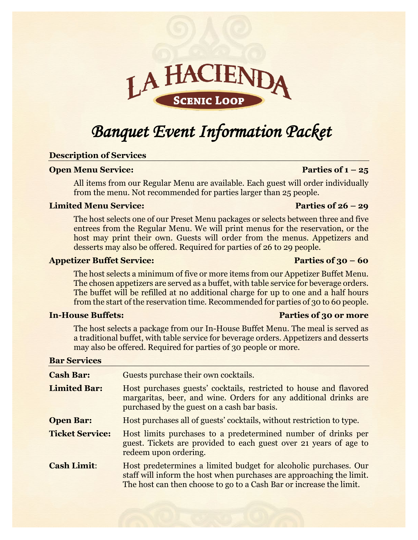# LAHA **SCENIC LOOP**

## *Banquet Event Information Packet*

## **Description of Services**

## **Open Menu Service:** Parties of  $1 - 25$

All items from our Regular Menu are available. Each guest will order individually from the menu. Not recommended for parties larger than 25 people.

## **Limited Menu Service:** Parties of 26 – 29

The host selects one of our Preset Menu packages or selects between three and five entrees from the Regular Menu. We will print menus for the reservation, or the host may print their own. Guests will order from the menus. Appetizers and desserts may also be offered. Required for parties of 26 to 29 people.

## **Appetizer Buffet Service: Parties of 30 – 60**

The host selects a minimum of five or more items from our Appetizer Buffet Menu. The chosen appetizers are served as a buffet, with table service for beverage orders. The buffet will be refilled at no additional charge for up to one and a half hours from the start of the reservation time. Recommended for parties of 30 to 60 people.

## **In-House Buffets: Parties of 30 or more**

The host selects a package from our In-House Buffet Menu. The meal is served as a traditional buffet, with table service for beverage orders. Appetizers and desserts may also be offered. Required for parties of 30 people or more.

## **Bar Services**

| <b>Cash Bar:</b>       | Guests purchase their own cocktails.                                                                                                                                                                            |
|------------------------|-----------------------------------------------------------------------------------------------------------------------------------------------------------------------------------------------------------------|
| <b>Limited Bar:</b>    | Host purchases guests' cocktails, restricted to house and flavored<br>margaritas, beer, and wine. Orders for any additional drinks are<br>purchased by the guest on a cash bar basis.                           |
| <b>Open Bar:</b>       | Host purchases all of guests' cocktails, without restriction to type.                                                                                                                                           |
| <b>Ticket Service:</b> | Host limits purchases to a predetermined number of drinks per<br>guest. Tickets are provided to each guest over 21 years of age to<br>redeem upon ordering.                                                     |
| <b>Cash Limit:</b>     | Host predetermines a limited budget for alcoholic purchases. Our<br>staff will inform the host when purchases are approaching the limit.<br>The host can then choose to go to a Cash Bar or increase the limit. |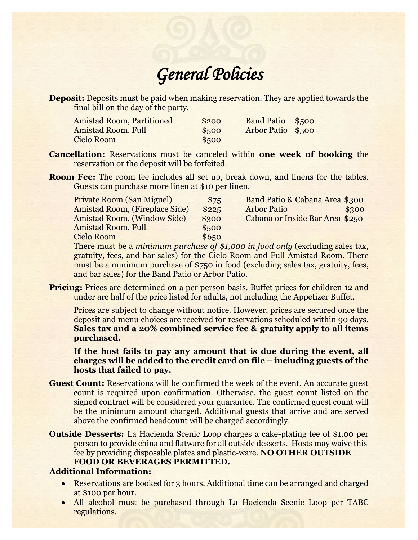# *General Policies*

**Deposit:** Deposits must be paid when making reservation. They are applied towards the final bill on the day of the party.

| <b>Amistad Room, Partitioned</b> | \$200 | Band Patio \$500  |  |
|----------------------------------|-------|-------------------|--|
| <b>Amistad Room, Full</b>        | \$500 | Arbor Patio \$500 |  |
| Cielo Room                       | \$500 |                   |  |

- **Cancellation:** Reservations must be canceled within **one week of booking** the reservation or the deposit will be forfeited.
- **Room Fee:** The room fee includes all set up, break down, and linens for the tables. Guests can purchase more linen at \$10 per linen.

| <b>Private Room (San Miguel)</b> | \$75  | Band Patio & Cabana Area \$300                                                |
|----------------------------------|-------|-------------------------------------------------------------------------------|
| Amistad Room, (Fireplace Side)   | \$225 | <b>Arbor Patio</b><br>\$300                                                   |
| Amistad Room, (Window Side)      | \$300 | Cabana or Inside Bar Area \$250                                               |
| <b>Amistad Room, Full</b>        | \$500 |                                                                               |
| Cielo Room                       | \$650 |                                                                               |
|                                  |       | There must be a minimum purchase of \$1,000 in food only (evoluding sales tay |

<u>be minimum purchase of \$1,000 in food only (excluding sales tax,</u> gratuity, fees, and bar sales) for the Cielo Room and Full Amistad Room. There must be a minimum purchase of \$750 in food (excluding sales tax, gratuity, fees, and bar sales) for the Band Patio or Arbor Patio.

**Pricing:** Prices are determined on a per person basis. Buffet prices for children 12 and under are half of the price listed for adults, not including the Appetizer Buffet.

Prices are subject to change without notice. However, prices are secured once the deposit and menu choices are received for reservations scheduled within 90 days. **Sales tax and a 20% combined service fee & gratuity apply to all items purchased.**

**If the host fails to pay any amount that is due during the event, all charges will be added to the credit card on file – including guests of the hosts that failed to pay.** 

- **Guest Count:** Reservations will be confirmed the week of the event. An accurate guest count is required upon confirmation. Otherwise, the guest count listed on the signed contract will be considered your guarantee. The confirmed guest count will be the minimum amount charged. Additional guests that arrive and are served above the confirmed headcount will be charged accordingly.
- **Outside Desserts:** La Hacienda Scenic Loop charges a cake-plating fee of \$1.00 per person to provide china and flatware for all outside desserts. Hosts may waive this fee by providing disposable plates and plastic-ware. **NO OTHER OUTSIDE FOOD OR BEVERAGES PERMITTED.**

## **Additional Information:**

- Reservations are booked for 3 hours. Additional time can be arranged and charged at \$100 per hour.
- All alcohol must be purchased through La Hacienda Scenic Loop per TABC regulations.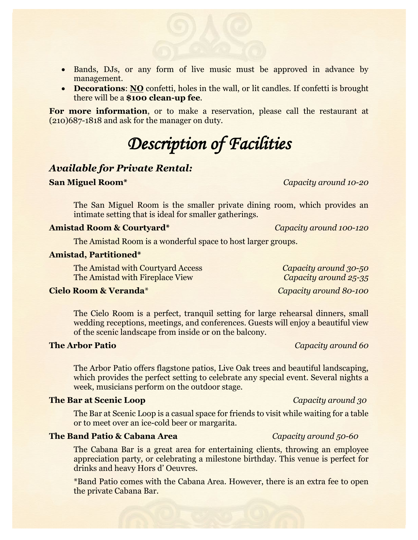- Bands, DJs, or any form of live music must be approved in advance by management.
- **Decorations: NO** confetti, holes in the wall, or lit candles. If confetti is brought there will be a **\$100 clean-up fee**.

**For more information**, or to make a reservation, please call the restaurant at (210)687-1818 and ask for the manager on duty.

## *Description of Facilities*

## *Available for Private Rental:*

### **San Miguel Room\*** *Capacity around 10-20*

The San Miguel Room is the smaller private dining room, which provides an intimate setting that is ideal for smaller gatherings.

### **Amistad Room & Courtyard\*** *Capacity around 100-120*

The Amistad Room is a wonderful space to host larger groups.

### **Amistad, Partitioned\***

The Amistad with Courtyard Access *Capacity around 30-50* The Amistad with Fireplace View *Capacity around 25-35*

## **Cielo Room & Veranda**\* *Capacity around 80-100*

The Cielo Room is a perfect, tranquil setting for large rehearsal dinners, small wedding receptions, meetings, and conferences. Guests will enjoy a beautiful view of the scenic landscape from inside or on the balcony.

### **The Arbor Patio** *Capacity around 60*

The Arbor Patio offers flagstone patios, Live Oak trees and beautiful landscaping, which provides the perfect setting to celebrate any special event. Several nights a week, musicians perform on the outdoor stage.

### **The Bar at Scenic Loop** *Capacity around 30*

The Bar at Scenic Loop is a casual space for friends to visit while waiting for a table or to meet over an ice-cold beer or margarita.

### **The Band Patio & Cabana Area** *Capacity around 50-60*

The Cabana Bar is a great area for entertaining clients, throwing an employee appreciation party, or celebrating a milestone birthday. This venue is perfect for drinks and heavy Hors d' Oeuvres.

\*Band Patio comes with the Cabana Area. However, there is an extra fee to open the private Cabana Bar.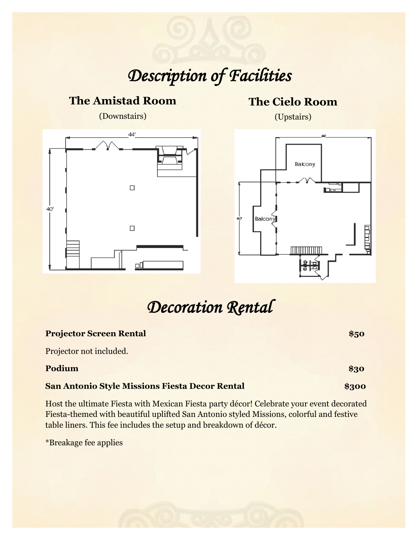## *Description of Facilities*

# (Downstairs)  $44'$  $\Box$ 40  $\Box$ ᇛ

**The Amistad Room**

## **The Cielo Room**

(Upstairs)



## *Decoration Rental*

| <b>Projector Screen Rental</b>                        | \$50  |
|-------------------------------------------------------|-------|
| Projector not included.                               |       |
| Podium                                                | \$30  |
| <b>San Antonio Style Missions Fiesta Decor Rental</b> | \$300 |
|                                                       |       |

Host the ultimate Fiesta with Mexican Fiesta party décor! Celebrate your event decorated Fiesta-themed with beautiful uplifted San Antonio styled Missions, colorful and festive table liners. This fee includes the setup and breakdown of décor.

\*Breakage fee applies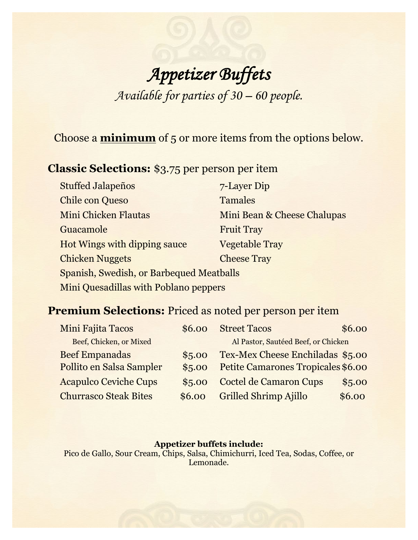## *Appetizer Buffets Available for parties of 30 – 60 people.*

Choose a **minimum** of 5 or more items from the options below.

## **Classic Selections:** \$3.75 per person per item

| <b>Stuffed Jalapeños</b>                 | 7-Layer Dip                 |
|------------------------------------------|-----------------------------|
| <b>Chile con Queso</b>                   | <b>Tamales</b>              |
| <b>Mini Chicken Flautas</b>              | Mini Bean & Cheese Chalupas |
| Guacamole                                | <b>Fruit Tray</b>           |
| Hot Wings with dipping sauce             | <b>Vegetable Tray</b>       |
| <b>Chicken Nuggets</b>                   | <b>Cheese Tray</b>          |
| Spanish, Swedish, or Barbequed Meatballs |                             |
| Mini Quesadillas with Poblano peppers    |                             |

## **Premium Selections:** Priced as noted per person per item

| Mini Fajita Tacos            | \$6.00 | <b>Street Tacos</b>                 | \$6.00 |
|------------------------------|--------|-------------------------------------|--------|
| Beef, Chicken, or Mixed      |        | Al Pastor, Sautéed Beef, or Chicken |        |
| <b>Beef Empanadas</b>        | \$5.00 | Tex-Mex Cheese Enchiladas \$5.00    |        |
| Pollito en Salsa Sampler     | \$5.00 | Petite Camarones Tropicales \$6.00  |        |
| <b>Acapulco Ceviche Cups</b> | \$5.00 | <b>Coctel de Camaron Cups</b>       | \$5.00 |
| <b>Churrasco Steak Bites</b> | \$6.00 | <b>Grilled Shrimp Ajillo</b>        | \$6.00 |

## **Appetizer buffets include:**

Pico de Gallo, Sour Cream, Chips, Salsa, Chimichurri, Iced Tea, Sodas, Coffee, or Lemonade.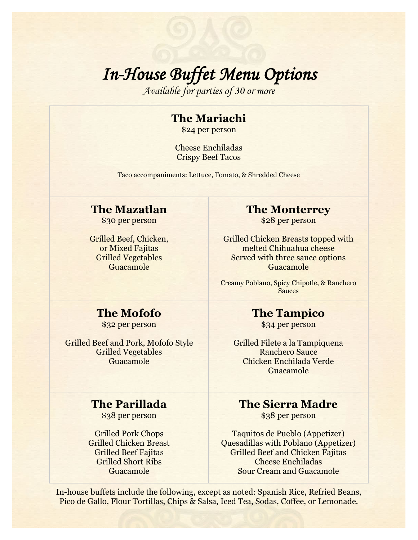# *In-House Buffet Menu Options Available for parties of 30 or more*

## **The Mariachi**

\$24 per person

Cheese Enchiladas Crispy Beef Tacos

Taco accompaniments: Lettuce, Tomato, & Shredded Cheese

## **The Mazatlan**

\$30 per person

Grilled Beef, Chicken, or Mixed Fajitas Grilled Vegetables Guacamole

## **The Monterrey**

\$28 per person

Grilled Chicken Breasts topped with melted Chihuahua cheese Served with three sauce options Guacamole

Creamy Poblano, Spicy Chipotle, & Ranchero Sauces

## **The Mofofo**

\$32 per person

Grilled Beef and Pork, Mofofo Style Grilled Vegetables Guacamole

## **The Parillada**

\$38 per person

Grilled Pork Chops Grilled Chicken Breast Grilled Beef Fajitas Grilled Short Ribs Guacamole

## **The Tampico**

\$34 per person

Grilled Filete a la Tampiquena Ranchero Sauce Chicken Enchilada Verde Guacamole

## **The Sierra Madre**

\$38 per person

Taquitos de Pueblo (Appetizer) Quesadillas with Poblano (Appetizer) Grilled Beef and Chicken Fajitas Cheese Enchiladas Sour Cream and Guacamole

In-house buffets include the following, except as noted: Spanish Rice, Refried Beans, Pico de Gallo, Flour Tortillas, Chips & Salsa, Iced Tea, Sodas, Coffee, or Lemonade.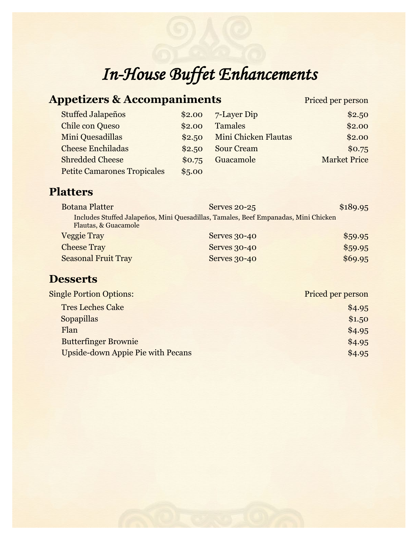# *In-House Buffet Enhancements*

| <b>Appetizers &amp; Accompaniments</b>                                                                      |        |                      | Priced per person   |
|-------------------------------------------------------------------------------------------------------------|--------|----------------------|---------------------|
| <b>Stuffed Jalapeños</b>                                                                                    | \$2.00 | 7-Layer Dip          | \$2.50              |
| <b>Chile con Queso</b>                                                                                      | \$2.00 | <b>Tamales</b>       | \$2.00              |
| Mini Quesadillas                                                                                            | \$2.50 | Mini Chicken Flautas | \$2.00              |
| <b>Cheese Enchiladas</b>                                                                                    | \$2.50 | <b>Sour Cream</b>    | \$0.75              |
| <b>Shredded Cheese</b>                                                                                      | \$0.75 | Guacamole            | <b>Market Price</b> |
| <b>Petite Camarones Tropicales</b>                                                                          | \$5.00 |                      |                     |
| <b>Platters</b>                                                                                             |        |                      |                     |
| <b>Botana Platter</b>                                                                                       |        | <b>Serves 20-25</b>  | \$189.95            |
| Includes Stuffed Jalapeños, Mini Quesadillas, Tamales, Beef Empanadas, Mini Chicken<br>Flautas, & Guacamole |        |                      |                     |
| <b>Veggie Tray</b>                                                                                          |        | <b>Serves 30-40</b>  | \$59.95             |
| <b>Cheese Tray</b>                                                                                          |        | <b>Serves 30-40</b>  | \$59.95             |
| <b>Seasonal Fruit Tray</b>                                                                                  |        | Serves 30-40         | \$69.95             |
| <b>Desserts</b>                                                                                             |        |                      |                     |
| <b>Single Portion Options:</b>                                                                              |        |                      | Priced per person   |
| <b>Tres Leches Cake</b>                                                                                     |        |                      | \$4.95              |
| <b>Sopapillas</b>                                                                                           |        |                      | \$1.50              |
| Flan                                                                                                        |        |                      | \$4.95              |
| <b>Butterfinger Brownie</b>                                                                                 |        |                      | \$4.95              |
| <b>Upside-down Appie Pie with Pecans</b>                                                                    |        |                      | \$4.95              |